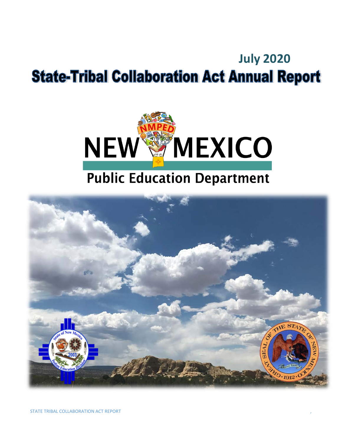# **July 2020State-Tribal Collaboration Act Annual Report**



# **Public Education Department**

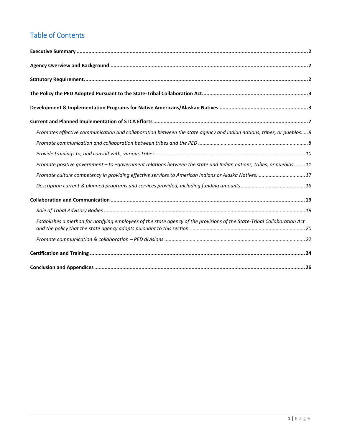# Table of Contents

| Promotes effective communication and collaboration between the state agency and Indian nations, tribes, or pueblos8      |
|--------------------------------------------------------------------------------------------------------------------------|
|                                                                                                                          |
|                                                                                                                          |
| Promote positive government - to -government relations between the state and Indian nations, tribes, or pueblos11        |
| Promote culture competency in providing effective services to American Indians or Alaska Natives;17                      |
|                                                                                                                          |
|                                                                                                                          |
|                                                                                                                          |
| Establishes a method for notifying employees of the state agency of the provisions of the State-Tribal Collaboration Act |
|                                                                                                                          |
|                                                                                                                          |
|                                                                                                                          |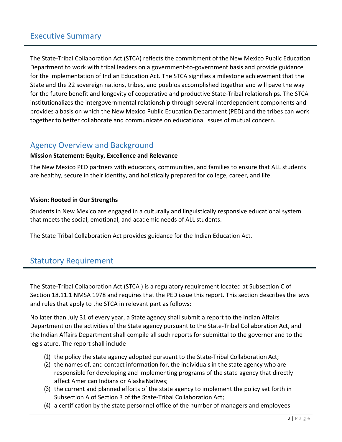# <span id="page-2-0"></span>Executive Summary

The State-Tribal Collaboration Act (STCA) reflects the commitment of the New Mexico Public Education Department to work with tribal leaders on a government-to-government basis and provide guidance for the implementation of Indian Education Act. The STCA signifies a milestone achievement that the State and the 22 sovereign nations, tribes, and pueblos accomplished together and will pave the way for the future benefit and longevity of cooperative and productive State-Tribal relationships. The STCA institutionalizes the intergovernmental relationship through several interdependent components and provides a basis on which the New Mexico Public Education Department (PED) and the tribes can work together to better collaborate and communicate on educational issues of mutual concern.

## <span id="page-2-1"></span>Agency Overview and Background

#### **Mission Statement: Equity, Excellence and Relevance**

The New Mexico PED partners with educators, communities, and families to ensure that ALL students are healthy, secure in their identity, and holistically prepared for college, career, and life.

#### **Vision: Rooted in Our Strengths**

Students in New Mexico are engaged in a culturally and linguistically responsive educational system that meets the social, emotional, and academic needs of ALL students.

<span id="page-2-2"></span>The State Tribal Collaboration Act provides guidance for the Indian Education Act.

## Statutory Requirement

The State-Tribal Collaboration Act (STCA ) is a regulatory requirement located at Subsection C of Section 18.11.1 NMSA 1978 and requires that the PED issue this report. This section describes the laws and rules that apply to the STCA in relevant part as follows:

No later than July 31 of every year, a State agency shall submit a report to the Indian Affairs Department on the activities of the State agency pursuant to the State-Tribal Collaboration Act, and the Indian Affairs Department shall compile all such reports for submittal to the governor and to the legislature. The report shall include

- (1) the policy the state agency adopted pursuant to the State-Tribal Collaboration Act;
- $(2)$  the names of, and contact information for, the individuals in the state agency who are responsible for developing and implementing programs of the state agency that directly affect American Indians or Alaska Natives;
- (3) the current and planned efforts of the state agency to implement the policy set forth in Subsection A of Section 3 of the State-Tribal Collaboration Act;
- (4) a certification by the state personnel office of the number of managers and employees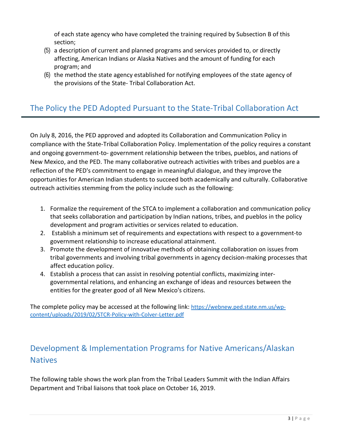of each state agency who have completed the training required by Subsection B of this section;

- (5) a description of current and planned programs and services provided to, or directly affecting, American Indians or Alaska Natives and the amount of funding for each program; and
- (6) the method the state agency established for notifying employees of the state agency of the provisions of the State- Tribal Collaboration Act.

# <span id="page-3-0"></span>The Policy the PED Adopted Pursuant to the State-Tribal Collaboration Act

On July 8, 2016, the PED approved and adopted its Collaboration and Communication Policy in compliance with the State-Tribal Collaboration Policy. Implementation of the policy requires a constant and ongoing government-to- government relationship between the tribes, pueblos, and nations of New Mexico, and the PED. The many collaborative outreach activities with tribes and pueblos are a reflection of the PED's commitment to engage in meaningful dialogue, and they improve the opportunities for American Indian students to succeed both academically and culturally. Collaborative outreach activities stemming from the policy include such as the following:

- 1. Formalize the requirement of the STCA to implement a collaboration and communication policy that seeks collaboration and participation by Indian nations, tribes, and pueblos in the policy development and program activities or services related to education.
- 2. Establish a minimum set of requirements and expectations with respect to a government-to government relationship to increase educational attainment.
- 3. Promote the development of innovative methods of obtaining collaboration on issues from tribal governments and involving tribal governments in agency decision-making processes that affect education policy.
- 4. Establish a process that can assist in resolving potential conflicts, maximizing intergovernmental relations, and enhancing an exchange of ideas and resources between the entities for the greater good of all New Mexico's citizens.

The complete policy may be accessed at the following link: [https://webnew.ped.state.nm.us/wp](https://webnew.ped.state.nm.us/wp-content/uploads/2019/02/STCR-Policy-with-Colver-Letter.pdf)[content/uploads/2019/02/STCR-Policy-with-Colver-Letter.pdf](https://webnew.ped.state.nm.us/wp-content/uploads/2019/02/STCR-Policy-with-Colver-Letter.pdf)

# <span id="page-3-1"></span>Development & Implementation Programs for Native Americans/Alaskan **Natives**

The following table shows the work plan from the Tribal Leaders Summit with the Indian Affairs Department and Tribal liaisons that took place on October 16, 2019.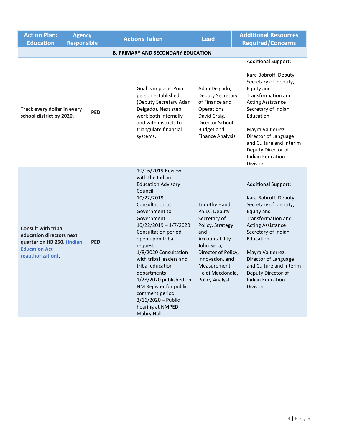| <b>Action Plan:</b><br><b>Education</b>                                                                                           | <b>Agency</b><br><b>Responsible</b> |            |  | <b>Actions Taken</b>                                                                                                                                                                                                                                                                                                                                                                                                                                        | <b>Lead</b> |                                                                                                                                                                                                                 | <b>Additional Resources</b><br><b>Required/Concerns</b>                                                                                                                                                                                                                                                               |
|-----------------------------------------------------------------------------------------------------------------------------------|-------------------------------------|------------|--|-------------------------------------------------------------------------------------------------------------------------------------------------------------------------------------------------------------------------------------------------------------------------------------------------------------------------------------------------------------------------------------------------------------------------------------------------------------|-------------|-----------------------------------------------------------------------------------------------------------------------------------------------------------------------------------------------------------------|-----------------------------------------------------------------------------------------------------------------------------------------------------------------------------------------------------------------------------------------------------------------------------------------------------------------------|
| <b>B. PRIMARY AND SECONDARY EDUCATION</b>                                                                                         |                                     |            |  |                                                                                                                                                                                                                                                                                                                                                                                                                                                             |             |                                                                                                                                                                                                                 |                                                                                                                                                                                                                                                                                                                       |
| Track every dollar in every<br>school district by 2020.                                                                           |                                     | <b>PED</b> |  | Goal is in place. Point<br>person established<br>(Deputy Secretary Adan<br>Delgado). Next step:<br>work both internally<br>and with districts to<br>triangulate financial<br>systems.                                                                                                                                                                                                                                                                       |             | Adan Delgado,<br><b>Deputy Secretary</b><br>of Finance and<br>Operations<br>David Craig,<br>Director School<br><b>Budget and</b><br><b>Finance Analysis</b>                                                     | <b>Additional Support:</b><br>Kara Bobroff, Deputy<br>Secretary of Identity,<br>Equity and<br>Transformation and<br><b>Acting Assistance</b><br>Secretary of Indian<br>Education<br>Mayra Valtierrez,<br>Director of Language<br>and Culture and Interim<br>Deputy Director of<br><b>Indian Education</b><br>Division |
| <b>Consult with tribal</b><br>education directors next<br>quarter on HB 250. (Indian<br><b>Education Act</b><br>reauthorization). |                                     | <b>PED</b> |  | 10/16/2019 Review<br>with the Indian<br><b>Education Advisory</b><br>Council<br>10/22/2019<br>Consultation at<br>Government to<br>Government<br>$10/22/2019 - 1/7/2020$<br>Consultation period<br>open upon tribal<br>request<br>1/8/2020 Consultation<br>with tribal leaders and<br>tribal education<br>departments<br>1/28/2020 published on<br>NM Register for public<br>comment period<br>$3/16/2020 - Public$<br>hearing at NMPED<br><b>Mabry Hall</b> |             | Timothy Hand,<br>Ph.D., Deputy<br>Secretary of<br>Policy, Strategy<br>and<br>Accountability<br>John Sena,<br>Director of Policy,<br>Innovation, and<br>Measurement<br>Heidi Macdonald,<br><b>Policy Analyst</b> | <b>Additional Support:</b><br>Kara Bobroff, Deputy<br>Secretary of Identity,<br>Equity and<br>Transformation and<br><b>Acting Assistance</b><br>Secretary of Indian<br>Education<br>Mayra Valtierrez,<br>Director of Language<br>and Culture and Interim<br>Deputy Director of<br><b>Indian Education</b><br>Division |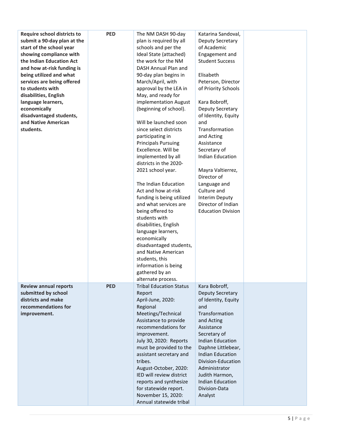| <b>Require school districts to</b> | <b>PED</b> | The NM DASH 90-day             | Katarina Sandoval,          |  |
|------------------------------------|------------|--------------------------------|-----------------------------|--|
| submit a 90-day plan at the        |            | plan is required by all        | Deputy Secretary            |  |
| start of the school year           |            | schools and per the            | of Academic                 |  |
| showing compliance with            |            | Ideal State (attached)         | Engagement and              |  |
| the Indian Education Act           |            | the work for the NM            | <b>Student Success</b>      |  |
| and how at-risk funding is         |            | DASH Annual Plan and           |                             |  |
| being utilized and what            |            | 90-day plan begins in          | Elisabeth                   |  |
| services are being offered         |            | March/April, with              | Peterson, Director          |  |
| to students with                   |            | approval by the LEA in         | of Priority Schools         |  |
| disabilities, English              |            | May, and ready for             |                             |  |
| language learners,                 |            | implementation August          | Kara Bobroff,               |  |
| economically                       |            | (beginning of school).         | Deputy Secretary            |  |
| disadvantaged students,            |            |                                | of Identity, Equity         |  |
| and Native American                |            | Will be launched soon          | and                         |  |
| students.                          |            | since select districts         | Transformation              |  |
|                                    |            | participating in               | and Acting                  |  |
|                                    |            | <b>Principals Pursuing</b>     | Assistance                  |  |
|                                    |            | Excellence. Will be            | Secretary of                |  |
|                                    |            | implemented by all             | <b>Indian Education</b>     |  |
|                                    |            | districts in the 2020-         |                             |  |
|                                    |            | 2021 school year.              | Mayra Valtierrez,           |  |
|                                    |            |                                | Director of                 |  |
|                                    |            | The Indian Education           |                             |  |
|                                    |            |                                | Language and<br>Culture and |  |
|                                    |            | Act and how at-risk            |                             |  |
|                                    |            | funding is being utilized      | Interim Deputy              |  |
|                                    |            | and what services are          | Director of Indian          |  |
|                                    |            | being offered to               | <b>Education Division</b>   |  |
|                                    |            | students with                  |                             |  |
|                                    |            | disabilities, English          |                             |  |
|                                    |            | language learners,             |                             |  |
|                                    |            | economically                   |                             |  |
|                                    |            | disadvantaged students,        |                             |  |
|                                    |            | and Native American            |                             |  |
|                                    |            | students, this                 |                             |  |
|                                    |            | information is being           |                             |  |
|                                    |            | gathered by an                 |                             |  |
|                                    |            | alternate process.             |                             |  |
| <b>Review annual reports</b>       | <b>PED</b> | <b>Tribal Education Status</b> | Kara Bobroff,               |  |
| submitted by school                |            | Report                         | Deputy Secretary            |  |
| districts and make                 |            | April-June, 2020:              | of Identity, Equity         |  |
| recommendations for                |            | Regional                       | and                         |  |
| improvement.                       |            | Meetings/Technical             | Transformation              |  |
|                                    |            | Assistance to provide          | and Acting                  |  |
|                                    |            | recommendations for            | Assistance                  |  |
|                                    |            | improvement.                   | Secretary of                |  |
|                                    |            | July 30, 2020: Reports         | <b>Indian Education</b>     |  |
|                                    |            | must be provided to the        | Daphne Littlebear,          |  |
|                                    |            | assistant secretary and        | <b>Indian Education</b>     |  |
|                                    |            | tribes.                        | Division-Education          |  |
|                                    |            | August-October, 2020:          | Administrator               |  |
|                                    |            | IED will review district       | Judith Harmon,              |  |
|                                    |            | reports and synthesize         | <b>Indian Education</b>     |  |
|                                    |            | for statewide report.          | Division-Data               |  |
|                                    |            | November 15, 2020:             | Analyst                     |  |
|                                    |            | Annual statewide tribal        |                             |  |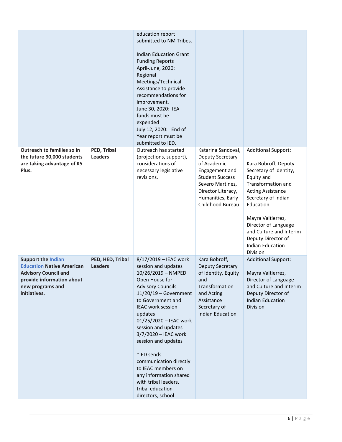|                                                                                                                                                               |                                    | education report<br>submitted to NM Tribes.<br><b>Indian Education Grant</b><br><b>Funding Reports</b><br>April-June, 2020:<br>Regional<br>Meetings/Technical<br>Assistance to provide<br>recommendations for<br>improvement.<br>June 30, 2020: IEA<br>funds must be<br>expended<br>July 12, 2020: End of<br>Year report must be<br>submitted to IED.                                                                                                            |                                                                                                                                                                                      |                                                                                                                                                                                                                                                                                                                       |
|---------------------------------------------------------------------------------------------------------------------------------------------------------------|------------------------------------|------------------------------------------------------------------------------------------------------------------------------------------------------------------------------------------------------------------------------------------------------------------------------------------------------------------------------------------------------------------------------------------------------------------------------------------------------------------|--------------------------------------------------------------------------------------------------------------------------------------------------------------------------------------|-----------------------------------------------------------------------------------------------------------------------------------------------------------------------------------------------------------------------------------------------------------------------------------------------------------------------|
| Outreach to families so in<br>the future 90,000 students<br>are taking advantage of K5<br>Plus.                                                               | PED, Tribal<br><b>Leaders</b>      | Outreach has started<br>(projections, support),<br>considerations of<br>necessary legislative<br>revisions.                                                                                                                                                                                                                                                                                                                                                      | Katarina Sandoval,<br>Deputy Secretary<br>of Academic<br>Engagement and<br><b>Student Success</b><br>Severo Martinez,<br>Director Literacy,<br>Humanities, Early<br>Childhood Bureau | <b>Additional Support:</b><br>Kara Bobroff, Deputy<br>Secretary of Identity,<br>Equity and<br>Transformation and<br><b>Acting Assistance</b><br>Secretary of Indian<br>Education<br>Mayra Valtierrez,<br>Director of Language<br>and Culture and Interim<br>Deputy Director of<br><b>Indian Education</b><br>Division |
| <b>Support the Indian</b><br><b>Education Native American</b><br><b>Advisory Council and</b><br>provide information about<br>new programs and<br>initiatives. | PED, HED, Tribal<br><b>Leaders</b> | 8/17/2019 - IEAC work<br>session and updates<br>10/26/2019 - NMPED<br>Open House for<br><b>Advisory Councils</b><br>$11/20/19$ – Government<br>to Government and<br><b>IEAC</b> work session<br>updates<br>01/25/2020 - IEAC work<br>session and updates<br>3/7/2020 - IEAC work<br>session and updates<br>*IED sends<br>communication directly<br>to IEAC members on<br>any information shared<br>with tribal leaders,<br>tribal education<br>directors, school | Kara Bobroff,<br><b>Deputy Secretary</b><br>of Identity, Equity<br>and<br>Transformation<br>and Acting<br>Assistance<br>Secretary of<br><b>Indian Education</b>                      | <b>Additional Support:</b><br>Mayra Valtierrez,<br>Director of Language<br>and Culture and Interim<br>Deputy Director of<br><b>Indian Education</b><br>Division                                                                                                                                                       |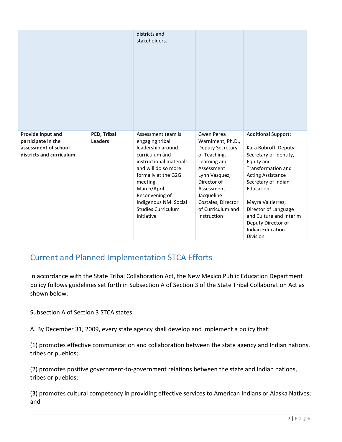|                                                                                              |                               | districts and<br>stakeholders.                                                                                                                                                                                                                                          |                                                                                                                                                                                                                         |                                                                                                                                                                                                                                                                                                                              |
|----------------------------------------------------------------------------------------------|-------------------------------|-------------------------------------------------------------------------------------------------------------------------------------------------------------------------------------------------------------------------------------------------------------------------|-------------------------------------------------------------------------------------------------------------------------------------------------------------------------------------------------------------------------|------------------------------------------------------------------------------------------------------------------------------------------------------------------------------------------------------------------------------------------------------------------------------------------------------------------------------|
| Provide input and<br>participate in the<br>assessment of school<br>districts and curriculum. | PED, Tribal<br><b>Leaders</b> | Assessment team is<br>engaging tribal<br>leadership around<br>curriculum and<br>instructional materials<br>and will do so more<br>formally at the G2G<br>meeting.<br>March/April:<br>Reconvening of<br>Indigenous NM: Social<br><b>Studies Curriculum</b><br>Initiative | Gwen Perea<br>Warniment, Ph.D.,<br>Deputy Secretary<br>of Teaching,<br>Learning and<br>Assessment<br>Lynn Vasquez,<br>Director of<br>Assessment<br>Jacqueline<br>Costales, Director<br>of Curriculum and<br>Instruction | <b>Additional Support:</b><br>Kara Bobroff, Deputy<br>Secretary of Identity,<br>Equity and<br>Transformation and<br><b>Acting Assistance</b><br>Secretary of Indian<br>Education<br>Mayra Valtierrez,<br>Director of Language<br>and Culture and Interim<br>Deputy Director of<br><b>Indian Education</b><br><b>Division</b> |

# <span id="page-7-0"></span>Current and Planned Implementation STCA Efforts

In accordance with the State Tribal Collaboration Act, the New Mexico Public Education Department policy follows guidelines set forth in Subsection A of Section 3 of the State Tribal Collaboration Act as shown below:

Subsection A of Section 3 STCA states:

A. By December 31, 2009, every state agency shall develop and implement a policy that:

(1) promotes effective communication and collaboration between the state agency and Indian nations, tribes or pueblos;

(2) promotes positive government-to-government relations between the state and Indian nations, tribes or pueblos;

(3) promotes cultural competency in providing effective services to American Indians or Alaska Natives; and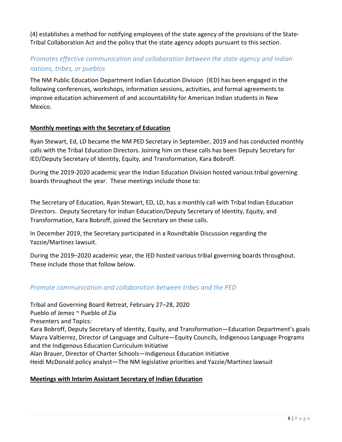(4) establishes a method for notifying employees of the state agency of the provisions of the State-Tribal Collaboration Act and the policy that the state agency adopts pursuant to this section.

## <span id="page-8-0"></span>*Promotes effective communication and collaboration between the state agency and Indian nations, tribes, or pueblos*

The NM Public Education Department Indian Education Division (IED) has been engaged in the following conferences, workshops, information sessions, activities, and formal agreements to improve education achievement of and accountability for American Indian students in New Mexico.

### **Monthly meetings with the Secretary of Education**

Ryan Stewart, Ed, LD became the NM PED Secretary in September, 2019 and has conducted monthly calls with the Tribal Education Directors. Joining him on these calls has been Deputy Secretary for IED/Deputy Secretary of Identity, Equity, and Transformation, Kara Bobroff.

During the 2019-2020 academic year the Indian Education Division hosted various tribal governing boards throughout the year. These meetings include those to:

The Secretary of Education, Ryan Stewart, ED, LD, has a monthly call with Tribal Indian Education Directors. Deputy Secretary for Indian Education/Deputy Secretary of Identity, Equity, and Transformation, Kara Bobroff, joined the Secretary on these calls.

In December 2019, the Secretary participated in a Roundtable Discussion regarding the Yazzie/Martinez lawsuit.

During the 2019–2020 academic year, the IED hosted various tribal governing boards throughout. These include those that follow below.

### <span id="page-8-1"></span>*Promote communication and collaboration between tribes and the PED*

Tribal and Governing Board Retreat, February 27–28, 2020 Pueblo of Jemez ~ Pueblo of Zia Presenters and Topics: Kara Bobroff, Deputy Secretary of Identity, Equity, and Transformation—Education Department's goals Mayra Valtierrez, Director of Language and Culture—Equity Councils, Indigenous Language Programs and the Indigenous Education Curriculum Initiative Alan Brauer, Director of Charter Schools—Indigenous Education Initiative Heidi McDonald policy analyst—The NM legislative priorities and Yazzie/Martinez lawsuit

#### **Meetings with Interim Assistant Secretary of Indian Education**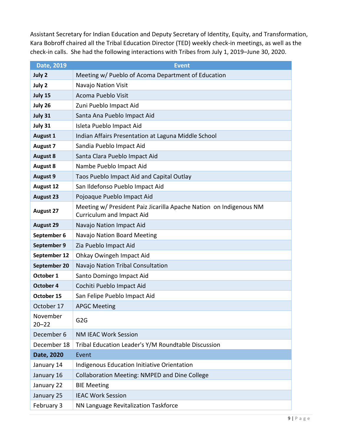Assistant Secretary for Indian Education and Deputy Secretary of Identity, Equity, and Transformation, Kara Bobroff chaired all the Tribal Education Director (TED) weekly check-in meetings, as well as the check-in calls. She had the following interactions with Tribes from July 1, 2019–June 30, 2020.

| Date, 2019            | <b>Event</b>                                                                                           |
|-----------------------|--------------------------------------------------------------------------------------------------------|
| July 2                | Meeting w/ Pueblo of Acoma Department of Education                                                     |
| July 2                | Navajo Nation Visit                                                                                    |
| July 15               | Acoma Pueblo Visit                                                                                     |
| July 26               | Zuni Pueblo Impact Aid                                                                                 |
| July 31               | Santa Ana Pueblo Impact Aid                                                                            |
| July 31               | Isleta Pueblo Impact Aid                                                                               |
| <b>August 1</b>       | Indian Affairs Presentation at Laguna Middle School                                                    |
| <b>August 7</b>       | Sandia Pueblo Impact Aid                                                                               |
| <b>August 8</b>       | Santa Clara Pueblo Impact Aid                                                                          |
| <b>August 8</b>       | Nambe Pueblo Impact Aid                                                                                |
| <b>August 9</b>       | Taos Pueblo Impact Aid and Capital Outlay                                                              |
| <b>August 12</b>      | San Ildefonso Pueblo Impact Aid                                                                        |
| <b>August 23</b>      | Pojoaque Pueblo Impact Aid                                                                             |
| <b>August 27</b>      | Meeting w/ President Paiz Jicarilla Apache Nation on Indigenous NM<br><b>Curriculum and Impact Aid</b> |
| <b>August 29</b>      | Navajo Nation Impact Aid                                                                               |
| September 6           | Navajo Nation Board Meeting                                                                            |
| September 9           | Zia Pueblo Impact Aid                                                                                  |
| September 12          | Ohkay Owingeh Impact Aid                                                                               |
| September 20          | Navajo Nation Tribal Consultation                                                                      |
| October 1             | Santo Domingo Impact Aid                                                                               |
| October 4             | Cochiti Pueblo Impact Aid                                                                              |
| October 15            | San Felipe Pueblo Impact Aid                                                                           |
| October 17            | <b>APGC Meeting</b>                                                                                    |
| November<br>$20 - 22$ | G <sub>2</sub> G                                                                                       |
| December 6            | <b>NM IEAC Work Session</b>                                                                            |
| December 18           | Tribal Education Leader's Y/M Roundtable Discussion                                                    |
| Date, 2020            | Event                                                                                                  |
| January 14            | Indigenous Education Initiative Orientation                                                            |
| January 16            | <b>Collaboration Meeting: NMPED and Dine College</b>                                                   |
| January 22            | <b>BIE Meeting</b>                                                                                     |
| January 25            | <b>IEAC Work Session</b>                                                                               |
| February 3            | NN Language Revitalization Taskforce                                                                   |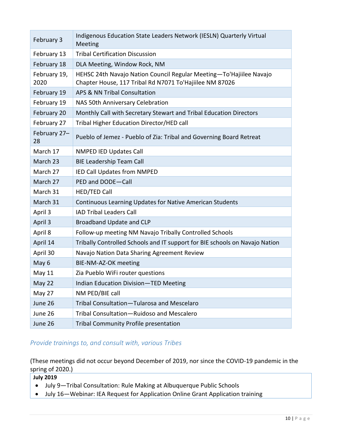| February 3           | Indigenous Education State Leaders Network (IESLN) Quarterly Virtual<br>Meeting                                                |
|----------------------|--------------------------------------------------------------------------------------------------------------------------------|
| February 13          | <b>Tribal Certification Discussion</b>                                                                                         |
| February 18          | DLA Meeting, Window Rock, NM                                                                                                   |
| February 19,<br>2020 | HEHSC 24th Navajo Nation Council Regular Meeting-To'Hajiilee Navajo<br>Chapter House, 117 Tribal Rd N7071 To'Hajiilee NM 87026 |
| February 19          | APS & NN Tribal Consultation                                                                                                   |
| February 19          | NAS 50th Anniversary Celebration                                                                                               |
| February 20          | Monthly Call with Secretary Stewart and Tribal Education Directors                                                             |
| February 27          | Tribal Higher Education Director/HED call                                                                                      |
| February 27-<br>28   | Pueblo of Jemez - Pueblo of Zia: Tribal and Governing Board Retreat                                                            |
| March 17             | <b>NMPED IED Updates Call</b>                                                                                                  |
| March 23             | <b>BIE Leadership Team Call</b>                                                                                                |
| March 27             | IED Call Updates from NMPED                                                                                                    |
| March 27             | PED and DODE-Call                                                                                                              |
| March 31             | <b>HED/TED Call</b>                                                                                                            |
| March 31             | Continuous Learning Updates for Native American Students                                                                       |
| April 3              | <b>IAD Tribal Leaders Call</b>                                                                                                 |
| April 3              | Broadband Update and CLP                                                                                                       |
| April 8              | Follow-up meeting NM Navajo Tribally Controlled Schools                                                                        |
| April 14             | Tribally Controlled Schools and IT support for BIE schools on Navajo Nation                                                    |
| April 30             | Navajo Nation Data Sharing Agreement Review                                                                                    |
| May 6                | BIE-NM-AZ-OK meeting                                                                                                           |
| May 11               | Zia Pueblo WiFi router questions                                                                                               |
| May 22               | Indian Education Division-TED Meeting                                                                                          |
| May 27               | NM PED/BIE call                                                                                                                |
| June 26              | Tribal Consultation-Tularosa and Mescelaro                                                                                     |
| June 26              | Tribal Consultation-Ruidoso and Mescalero                                                                                      |
| June 26              | <b>Tribal Community Profile presentation</b>                                                                                   |

### <span id="page-10-0"></span>*Provide trainings to, and consult with, various Tribes*

(These meetings did not occur beyond December of 2019, nor since the COVID-19 pandemic in the spring of 2020.)

**July 2019**

- July 9—Tribal Consultation: Rule Making at Albuquerque Public Schools
- July 16—Webinar: IEA Request for Application Online Grant Application training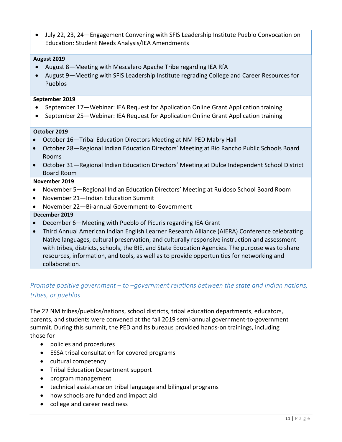• July 22, 23, 24—Engagement Convening with SFIS Leadership Institute Pueblo Convocation on Education: Student Needs Analysis/IEA Amendments

#### **August 2019**

- August 8—Meeting with Mescalero Apache Tribe regarding IEA RfA
- August 9—Meeting with SFIS Leadership Institute regrading College and Career Resources for Pueblos

#### **September 2019**

- September 17—Webinar: IEA Request for Application Online Grant Application training
- September 25—Webinar: IEA Request for Application Online Grant Application training

#### **October 2019**

- October 16—Tribal Education Directors Meeting at NM PED Mabry Hall
- October 28—Regional Indian Education Directors' Meeting at Rio Rancho Public Schools Board Rooms
- October 31—Regional Indian Education Directors' Meeting at Dulce Independent School District Board Room

#### **November 2019**

- November 5—Regional Indian Education Directors' Meeting at Ruidoso School Board Room
- November 21—Indian Education Summit
- November 22—Bi-annual Government-to-Government

#### **December 2019**

- December 6—Meeting with Pueblo of Picuris regarding IEA Grant
- Third Annual American Indian English Learner Research Alliance (AIERA) Conference celebrating Native languages, cultural preservation, and culturally responsive instruction and assessment with tribes, districts, schools, the BIE, and State Education Agencies. The purpose was to share resources, information, and tools, as well as to provide opportunities for networking and collaboration.

### <span id="page-11-0"></span>*Promote positive government – to –government relations between the state and Indian nations, tribes, or pueblos*

The 22 NM tribes/pueblos/nations, school districts, tribal education departments, educators, parents, and students were convened at the fall 2019 semi-annual government-to-government summit. During this summit, the PED and its bureaus provided hands-on trainings, including those for

- policies and procedures
- ESSA tribal consultation for covered programs
- cultural competency
- Tribal Education Department support
- program management
- technical assistance on tribal language and bilingual programs
- how schools are funded and impact aid
- college and career readiness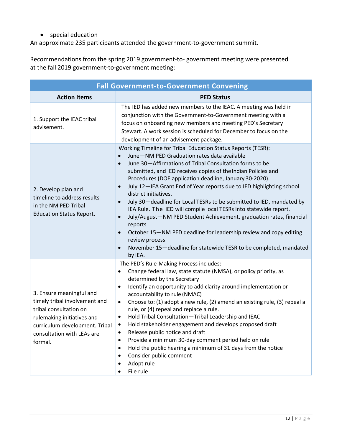• special education

An approximate 235 participants attended the government-to-government summit.

Recommendations from the spring 2019 government-to- government meeting were presented at the fall 2019 government-to-government meeting:

|                                                                                                                                                                                              | <b>Fall Government-to-Government Convening</b>                                                                                                                                                                                                                                                                                                                                                                                                                                                                                                                                                                                                                                                                                                                                                                                                                                                                    |
|----------------------------------------------------------------------------------------------------------------------------------------------------------------------------------------------|-------------------------------------------------------------------------------------------------------------------------------------------------------------------------------------------------------------------------------------------------------------------------------------------------------------------------------------------------------------------------------------------------------------------------------------------------------------------------------------------------------------------------------------------------------------------------------------------------------------------------------------------------------------------------------------------------------------------------------------------------------------------------------------------------------------------------------------------------------------------------------------------------------------------|
| <b>Action Items</b>                                                                                                                                                                          | <b>PED Status</b>                                                                                                                                                                                                                                                                                                                                                                                                                                                                                                                                                                                                                                                                                                                                                                                                                                                                                                 |
| 1. Support the IEAC tribal<br>advisement.                                                                                                                                                    | The IED has added new members to the IEAC. A meeting was held in<br>conjunction with the Government-to-Government meeting with a<br>focus on onboarding new members and meeting PED's Secretary<br>Stewart. A work session is scheduled for December to focus on the<br>development of an advisement package.                                                                                                                                                                                                                                                                                                                                                                                                                                                                                                                                                                                                     |
| 2. Develop plan and<br>timeline to address results<br>in the NM PED Tribal<br><b>Education Status Report.</b>                                                                                | Working Timeline for Tribal Education Status Reports (TESR):<br>June-NM PED Graduation rates data available<br>$\bullet$<br>June 30-Affirmations of Tribal Consultation forms to be<br>$\bullet$<br>submitted, and IED receives copies of the Indian Policies and<br>Procedures (DOE application deadline, January 30 <sup>,</sup> 2020).<br>July 12-IEA Grant End of Year reports due to IED highlighting school<br>$\bullet$<br>district initiatives.<br>July 30-deadline for Local TESRs to be submitted to IED, mandated by<br>$\bullet$<br>IEA Rule. The IED will compile local TESRs into statewide report.<br>July/August-NM PED Student Achievement, graduation rates, financial<br>$\bullet$<br>reports<br>October 15-NM PED deadline for leadership review and copy editing<br>$\bullet$<br>review process<br>November 15-deadline for statewide TESR to be completed, mandated<br>$\bullet$<br>by IEA. |
| 3. Ensure meaningful and<br>timely tribal involvement and<br>tribal consultation on<br>rulemaking initiatives and<br>curriculum development. Tribal<br>consultation with LEAs are<br>formal. | The PED's Rule-Making Process includes:<br>Change federal law, state statute (NMSA), or policy priority, as<br>٠<br>determined by the Secretary<br>Identify an opportunity to add clarity around implementation or<br>$\bullet$<br>accountability to rule (NMAC)<br>Choose to: (1) adopt a new rule, (2) amend an existing rule, (3) repeal a<br>$\bullet$<br>rule, or (4) repeal and replace a rule.<br>Hold Tribal Consultation-Tribal Leadership and IEAC<br>$\bullet$<br>Hold stakeholder engagement and develops proposed draft<br>٠<br>Release public notice and draft<br>٠<br>Provide a minimum 30-day comment period held on rule<br>Hold the public hearing a minimum of 31 days from the notice<br>٠<br>Consider public comment<br>٠<br>Adopt rule<br>File rule                                                                                                                                         |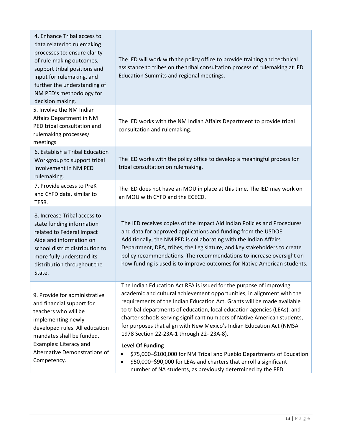| 4. Enhance Tribal access to<br>data related to rulemaking<br>processes to: ensure clarity<br>of rule-making outcomes,<br>support tribal positions and<br>input for rulemaking, and<br>further the understanding of<br>NM PED's methodology for<br>decision making. | The IED will work with the policy office to provide training and technical<br>assistance to tribes on the tribal consultation process of rulemaking at IED<br>Education Summits and regional meetings.                                                                                                                                                                                                                                                                                                                                                                                                                                                                                                                                                  |
|--------------------------------------------------------------------------------------------------------------------------------------------------------------------------------------------------------------------------------------------------------------------|---------------------------------------------------------------------------------------------------------------------------------------------------------------------------------------------------------------------------------------------------------------------------------------------------------------------------------------------------------------------------------------------------------------------------------------------------------------------------------------------------------------------------------------------------------------------------------------------------------------------------------------------------------------------------------------------------------------------------------------------------------|
| 5. Involve the NM Indian<br>Affairs Department in NM<br>PED tribal consultation and<br>rulemaking processes/<br>meetings                                                                                                                                           | The IED works with the NM Indian Affairs Department to provide tribal<br>consultation and rulemaking.                                                                                                                                                                                                                                                                                                                                                                                                                                                                                                                                                                                                                                                   |
| 6. Establish a Tribal Education<br>Workgroup to support tribal<br>involvement in NM PED<br>rulemaking.                                                                                                                                                             | The IED works with the policy office to develop a meaningful process for<br>tribal consultation on rulemaking.                                                                                                                                                                                                                                                                                                                                                                                                                                                                                                                                                                                                                                          |
| 7. Provide access to PreK<br>and CYFD data, similar to<br>TESR.                                                                                                                                                                                                    | The IED does not have an MOU in place at this time. The IED may work on<br>an MOU with CYFD and the ECECD.                                                                                                                                                                                                                                                                                                                                                                                                                                                                                                                                                                                                                                              |
| 8. Increase Tribal access to<br>state funding information<br>related to Federal Impact<br>Aide and information on<br>school district distribution to<br>more fully understand its<br>distribution throughout the<br>State.                                         | The IED receives copies of the Impact Aid Indian Policies and Procedures<br>and data for approved applications and funding from the USDOE.<br>Additionally, the NM PED is collaborating with the Indian Affairs<br>Department, DFA, tribes, the Legislature, and key stakeholders to create<br>policy recommendations. The recommendations to increase oversight on<br>how funding is used is to improve outcomes for Native American students.                                                                                                                                                                                                                                                                                                         |
| 9. Provide for administrative<br>and financial support for<br>teachers who will be<br>implementing newly<br>developed rules. All education<br>mandates shall be funded.<br>Examples: Literacy and<br>Alternative Demonstrations of<br>Competency.                  | The Indian Education Act RFA is issued for the purpose of improving<br>academic and cultural achievement opportunities, in alignment with the<br>requirements of the Indian Education Act. Grants will be made available<br>to tribal departments of education, local education agencies (LEAs), and<br>charter schools serving significant numbers of Native American students,<br>for purposes that align with New Mexico's Indian Education Act (NMSA<br>1978 Section 22-23A-1 through 22-23A-8).<br><b>Level Of Funding</b><br>\$75,000-\$100,000 for NM Tribal and Pueblo Departments of Education<br>\$50,000-\$90,000 for LEAs and charters that enroll a significant<br>$\bullet$<br>number of NA students, as previously determined by the PED |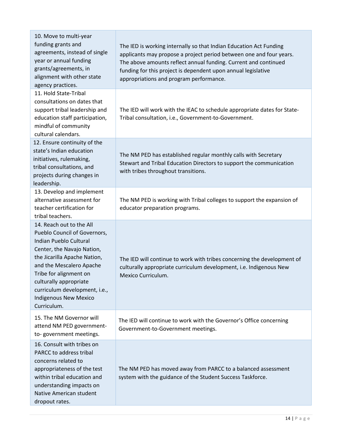| 10. Move to multi-year<br>funding grants and<br>agreements, instead of single<br>year or annual funding<br>grants/agreements, in<br>alignment with other state<br>agency practices.                                                                                                                                     | The IED is working internally so that Indian Education Act Funding<br>applicants may propose a project period between one and four years.<br>The above amounts reflect annual funding. Current and continued<br>funding for this project is dependent upon annual legislative<br>appropriations and program performance. |
|-------------------------------------------------------------------------------------------------------------------------------------------------------------------------------------------------------------------------------------------------------------------------------------------------------------------------|--------------------------------------------------------------------------------------------------------------------------------------------------------------------------------------------------------------------------------------------------------------------------------------------------------------------------|
| 11. Hold State-Tribal<br>consultations on dates that<br>support tribal leadership and<br>education staff participation,<br>mindful of community<br>cultural calendars.                                                                                                                                                  | The IED will work with the IEAC to schedule appropriate dates for State-<br>Tribal consultation, i.e., Government-to-Government.                                                                                                                                                                                         |
| 12. Ensure continuity of the<br>state's Indian education<br>initiatives, rulemaking,<br>tribal consultations, and<br>projects during changes in<br>leadership.                                                                                                                                                          | The NM PED has established regular monthly calls with Secretary<br>Stewart and Tribal Education Directors to support the communication<br>with tribes throughout transitions.                                                                                                                                            |
| 13. Develop and implement<br>alternative assessment for<br>teacher certification for<br>tribal teachers.                                                                                                                                                                                                                | The NM PED is working with Tribal colleges to support the expansion of<br>educator preparation programs.                                                                                                                                                                                                                 |
| 14. Reach out to the All<br>Pueblo Council of Governors,<br><b>Indian Pueblo Cultural</b><br>Center, the Navajo Nation,<br>the Jicarilla Apache Nation,<br>and the Mescalero Apache<br>Tribe for alignment on<br>culturally appropriate<br>curriculum development, i.e.,<br><b>Indigenous New Mexico</b><br>Curriculum. | The IED will continue to work with tribes concerning the development of<br>culturally appropriate curriculum development, i.e. Indigenous New<br>Mexico Curriculum.                                                                                                                                                      |
| 15. The NM Governor will<br>attend NM PED government-<br>to-government meetings.                                                                                                                                                                                                                                        | The IED will continue to work with the Governor's Office concerning<br>Government-to-Government meetings.                                                                                                                                                                                                                |
| 16. Consult with tribes on<br>PARCC to address tribal<br>concerns related to<br>appropriateness of the test<br>within tribal education and<br>understanding impacts on<br>Native American student<br>dropout rates.                                                                                                     | The NM PED has moved away from PARCC to a balanced assessment<br>system with the guidance of the Student Success Taskforce.                                                                                                                                                                                              |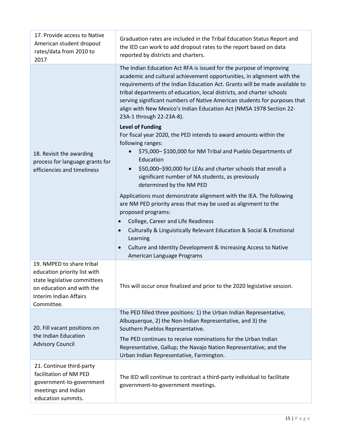| 17. Provide access to Native<br>American student dropout<br>rates/data from 2010 to<br>2017                                                                    | Graduation rates are included in the Tribal Education Status Report and<br>the IED can work to add dropout rates to the report based on data<br>reported by districts and charters.                                                                                                                                                                                                                                                                                                  |
|----------------------------------------------------------------------------------------------------------------------------------------------------------------|--------------------------------------------------------------------------------------------------------------------------------------------------------------------------------------------------------------------------------------------------------------------------------------------------------------------------------------------------------------------------------------------------------------------------------------------------------------------------------------|
|                                                                                                                                                                | The Indian Education Act RFA is issued for the purpose of improving<br>academic and cultural achievement opportunities, in alignment with the<br>requirements of the Indian Education Act. Grants will be made available to<br>tribal departments of education, local districts, and charter schools<br>serving significant numbers of Native American students for purposes that<br>align with New Mexico's Indian Education Act (NMSA 1978 Section 22-<br>23A-1 through 22-23A-8). |
| 18. Revisit the awarding<br>process for language grants for<br>efficiencies and timeliness                                                                     | <b>Level of Funding</b><br>For fiscal year 2020, the PED intends to award amounts within the<br>following ranges:<br>\$75,000-\$100,000 for NM Tribal and Pueblo Departments of<br>Education<br>\$50,000-\$90,000 for LEAs and charter schools that enroll a<br>$\bullet$<br>significant number of NA students, as previously<br>determined by the NM PED                                                                                                                            |
|                                                                                                                                                                | Applications must demonstrate alignment with the IEA. The following<br>are NM PED priority areas that may be used as alignment to the<br>proposed programs:<br>College, Career and Life Readiness<br>Culturally & Linguistically Relevant Education & Social & Emotional<br>$\bullet$<br>Learning<br>Culture and Identity Development & Increasing Access to Native<br>$\bullet$<br>American Language Programs                                                                       |
| 19. NMPED to share tribal<br>education priority list with<br>state legislative committees<br>on education and with the<br>Interim Indian Affairs<br>Committee. | This will occur once finalized and prior to the 2020 legislative session.                                                                                                                                                                                                                                                                                                                                                                                                            |
| 20. Fill vacant positions on<br>the Indian Education<br><b>Advisory Council</b>                                                                                | The PED filled three positions: 1) the Urban Indian Representative,<br>Albuquerque, 2) the Non-Indian Representative, and 3) the<br>Southern Pueblos Representative.<br>The PED continues to receive nominations for the Urban Indian<br>Representative, Gallup; the Navajo Nation Representative; and the<br>Urban Indian Representative, Farmington.                                                                                                                               |
| 21. Continue third-party<br>facilitation of NM PED<br>government-to-government<br>meetings and Indian<br>education summits.                                    | The IED will continue to contract a third-party individual to facilitate<br>government-to-government meetings.                                                                                                                                                                                                                                                                                                                                                                       |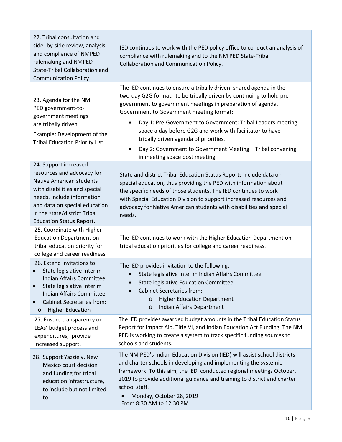| 22. Tribal consultation and<br>side- by-side review, analysis<br>and compliance of NMPED<br>rulemaking and NMPED<br>State-Tribal Collaboration and<br><b>Communication Policy.</b>                                                                        | IED continues to work with the PED policy office to conduct an analysis of<br>compliance with rulemaking and to the NM PED State-Tribal<br>Collaboration and Communication Policy.                                                                                                                                                                                                                                                                                                                                                                   |
|-----------------------------------------------------------------------------------------------------------------------------------------------------------------------------------------------------------------------------------------------------------|------------------------------------------------------------------------------------------------------------------------------------------------------------------------------------------------------------------------------------------------------------------------------------------------------------------------------------------------------------------------------------------------------------------------------------------------------------------------------------------------------------------------------------------------------|
| 23. Agenda for the NM<br>PED government-to-<br>government meetings<br>are tribally driven.<br>Example: Development of the<br><b>Tribal Education Priority List</b>                                                                                        | The IED continues to ensure a tribally driven, shared agenda in the<br>two-day G2G format. to be tribally driven by continuing to hold pre-<br>government to government meetings in preparation of agenda.<br>Government to Government meeting format:<br>Day 1: Pre-Government to Government: Tribal Leaders meeting<br>$\bullet$<br>space a day before G2G and work with facilitator to have<br>tribally driven agenda of priorities.<br>Day 2: Government to Government Meeting - Tribal convening<br>$\bullet$<br>in meeting space post meeting. |
| 24. Support increased<br>resources and advocacy for<br><b>Native American students</b><br>with disabilities and special<br>needs. Include information<br>and data on special education<br>in the state/district Tribal<br><b>Education Status Report.</b> | State and district Tribal Education Status Reports include data on<br>special education, thus providing the PED with information about<br>the specific needs of those students. The IED continues to work<br>with Special Education Division to support increased resources and<br>advocacy for Native American students with disabilities and special<br>needs.                                                                                                                                                                                     |
| 25. Coordinate with Higher<br><b>Education Department on</b><br>tribal education priority for<br>college and career readiness                                                                                                                             | The IED continues to work with the Higher Education Department on<br>tribal education priorities for college and career readiness.                                                                                                                                                                                                                                                                                                                                                                                                                   |
| 26. Extend invitations to:<br>State legislative Interim<br><b>Indian Affairs Committee</b><br>State legislative Interim<br><b>Indian Affairs Committee</b><br><b>Cabinet Secretaries from:</b><br>$\bullet$<br><b>Higher Education</b><br>$\circ$         | The IED provides invitation to the following:<br>State legislative Interim Indian Affairs Committee<br>State legislative Education Committee<br><b>Cabinet Secretaries from:</b><br><b>Higher Education Department</b><br>$\circ$<br>Indian Affairs Department<br>$\circ$                                                                                                                                                                                                                                                                            |
| 27. Ensure transparency on<br>LEAs' budget process and<br>expenditures; provide<br>increased support.                                                                                                                                                     | The IED provides awarded budget amounts in the Tribal Education Status<br>Report for Impact Aid, Title VI, and Indian Education Act Funding. The NM<br>PED is working to create a system to track specific funding sources to<br>schools and students.                                                                                                                                                                                                                                                                                               |
| 28. Support Yazzie v. New<br>Mexico court decision<br>and funding for tribal<br>education infrastructure,<br>to include but not limited<br>to:                                                                                                            | The NM PED's Indian Education Division (IED) will assist school districts<br>and charter schools in developing and implementing the systemic<br>framework. To this aim, the IED conducted regional meetings October,<br>2019 to provide additional guidance and training to district and charter<br>school staff.<br>Monday, October 28, 2019<br>From 8:30 AM to 12:30 PM                                                                                                                                                                            |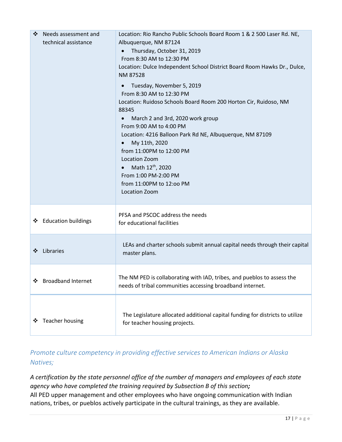| ❖<br>Needs assessment and<br>technical assistance | Location: Rio Rancho Public Schools Board Room 1 & 2 500 Laser Rd. NE,<br>Albuquerque, NM 87124<br>Thursday, October 31, 2019<br>From 8:30 AM to 12:30 PM<br>Location: Dulce Independent School District Board Room Hawks Dr., Dulce,<br>NM 87528<br>Tuesday, November 5, 2019<br>$\bullet$<br>From 8:30 AM to 12:30 PM<br>Location: Ruidoso Schools Board Room 200 Horton Cir, Ruidoso, NM<br>88345<br>March 2 and 3rd, 2020 work group<br>From 9:00 AM to 4:00 PM<br>Location: 4216 Balloon Park Rd NE, Albuquerque, NM 87109<br>My 11th, 2020<br>from 11:00PM to 12:00 PM<br>Location Zoom<br>Math 12 <sup>th</sup> , 2020<br>From 1:00 PM-2:00 PM<br>from 11:00PM to 12:00 PM<br><b>Location Zoom</b> |
|---------------------------------------------------|-----------------------------------------------------------------------------------------------------------------------------------------------------------------------------------------------------------------------------------------------------------------------------------------------------------------------------------------------------------------------------------------------------------------------------------------------------------------------------------------------------------------------------------------------------------------------------------------------------------------------------------------------------------------------------------------------------------|
| ❖ Education buildings                             | PFSA and PSCOC address the needs<br>for educational facilities                                                                                                                                                                                                                                                                                                                                                                                                                                                                                                                                                                                                                                            |
| Libraries<br>❖                                    | LEAs and charter schools submit annual capital needs through their capital<br>master plans.                                                                                                                                                                                                                                                                                                                                                                                                                                                                                                                                                                                                               |
| ❖ Broadband Internet                              | The NM PED is collaborating with IAD, tribes, and pueblos to assess the<br>needs of tribal communities accessing broadband internet.                                                                                                                                                                                                                                                                                                                                                                                                                                                                                                                                                                      |
| Teacher housing<br>❖                              | The Legislature allocated additional capital funding for districts to utilize<br>for teacher housing projects.                                                                                                                                                                                                                                                                                                                                                                                                                                                                                                                                                                                            |

# <span id="page-17-0"></span>*Promote culture competency in providing effective services to American Indians or Alaska Natives;*

*A certification by the state personnel office of the number of managers and employees of each state agency who have completed the training required by Subsection B of this section;* All PED upper management and other employees who have ongoing communication with Indian nations, tribes, or pueblos actively participate in the cultural trainings, as they are available.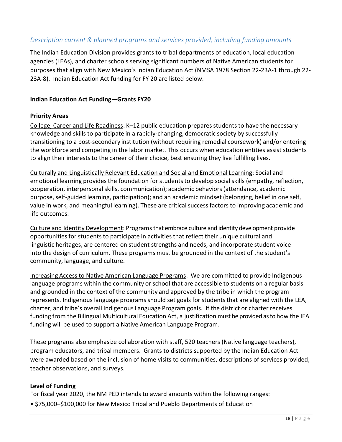### <span id="page-18-0"></span>*Description current & planned programs and services provided, including funding amounts*

The Indian Education Division provides grants to tribal departments of education, local education agencies (LEAs), and charter schools serving significant numbers of Native American students for purposes that align with New Mexico's Indian Education Act (NMSA 1978 Section 22-23A-1 through 22- 23A-8). Indian Education Act funding for FY 20 are listed below.

#### **Indian Education Act Funding—Grants FY20**

#### **Priority Areas**

College, Career and Life Readiness: K-12 public education prepares students to have the necessary knowledge and skills to participate in a rapidly-changing, democratic society by successfully transitioning to a post-secondary institution (without requiring remedial coursework) and/or entering the workforce and competing in the labor market. This occurs when education entities assist students to align their interests to the career of their choice, best ensuring they live fulfilling lives.

Culturally and Linguistically Relevant Education and Social and Emotional Learning: Social and emotional learning provides the foundation for students to develop social skills (empathy, reflection, cooperation, interpersonalskills, communication); academic behaviors (attendance, academic purpose, self-guided learning, participation); and an academic mindset (belonging, belief in one self, value in work, and meaningful learning). These are critical success factors to improving academic and life outcomes.

Culture and Identity Development: Programs that embrace culture and identity development provide opportunities for students to participate in activities that reflect their unique cultural and linguistic heritages, are centered on student strengths and needs, and incorporate student voice into the design of curriculum. These programs must be grounded in the context of the student's community, language, and culture.

Increasing Access to Native American Language Programs: We are committed to provide Indigenous language programs within the community or school that are accessible to students on a regular basis and grounded in the context of the community and approved by the tribe in which the program represents. Indigenous language programs should set goals for students that are aligned with the LEA, charter, and tribe's overall Indigenous Language Program goals. If the district or charter receives funding from the Bilingual Multicultural Education Act, a justification must be provided as to how the IEA funding will be used to support a Native American Language Program.

These programs also emphasize collaboration with staff, 520 teachers (Native language teachers), program educators, and tribal members. Grants to districts supported by the Indian Education Act were awarded based on the inclusion of home visits to communities, descriptions of services provided, teacher observations, and surveys.

#### **Level of Funding**

For fiscal year 2020, the NM PED intends to award amounts within the following ranges:

• \$75,000–\$100,000 for New Mexico Tribal and Pueblo Departments of Education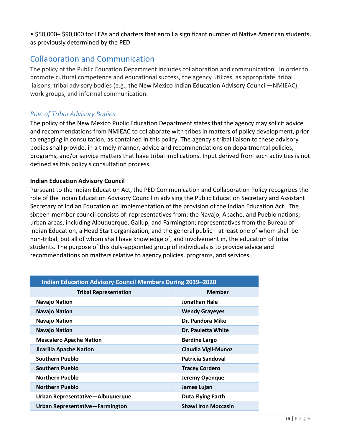• \$50,000– \$90,000 for LEAs and charters that enroll a significant number of Native American students, as previously determined by the PED

# <span id="page-19-0"></span>Collaboration and Communication

The policy of the Public Education Department includes collaboration and communication. In order to promote cultural competence and educational success, the agency utilizes, as appropriate: tribal liaisons, tribal advisory bodies (e.g., the New Mexico Indian Education Advisory Council—NMIEAC), work groups, and informal communication.

### <span id="page-19-1"></span>*Role of Tribal Advisory Bodies*

The policy of the New Mexico Public Education Department states that the agency may solicit advice and recommendations from NMIEAC to collaborate with tribes in matters of policy development, prior to engaging in consultation, as contained in this policy. The agency's tribal liaison to these advisory bodies shall provide, in a timely manner, advice and recommendations on departmental policies, programs, and/or service matters that have tribal implications. Input derived from such activities is not defined as this policy's consultation process.

#### **Indian Education Advisory Council**

Pursuant to the Indian Education Act, the PED Communication and Collaboration Policy recognizes the role of the Indian Education Advisory Council in advising the Public Education Secretary and Assistant Secretary of Indian Education on implementation of the provision of the Indian Education Act. The sixteen-member council consists of representatives from: the Navajo, Apache, and Pueblo nations; urban areas, including Albuquerque, Gallup, and Farmington; representatives from the Bureau of Indian Education, a Head Start organization, and the general public—at least one of whom shall be non-tribal, but all of whom shall have knowledge of, and involvement in, the education of tribal students. The purpose of this duly-appointed group of individuals is to provide advice and recommendations on matters relative to agency policies, programs, and services.

| <b>Indian Education Advisory Council Members During 2019-2020</b> |                            |  |
|-------------------------------------------------------------------|----------------------------|--|
| <b>Tribal Representation</b>                                      | <b>Member</b>              |  |
| <b>Navajo Nation</b>                                              | <b>Jonathan Hale</b>       |  |
| <b>Navajo Nation</b>                                              | <b>Wendy Grayeyes</b>      |  |
| <b>Navajo Nation</b>                                              | Dr. Pandora Mike           |  |
| <b>Navajo Nation</b>                                              | Dr. Pauletta White         |  |
| <b>Mescalero Apache Nation</b>                                    | <b>Berdine Largo</b>       |  |
| <b>Jicarilla Apache Nation</b>                                    | <b>Claudia Vigil-Munoz</b> |  |
| Southern Pueblo                                                   | <b>Patricia Sandoval</b>   |  |
| <b>Southern Pueblo</b>                                            | <b>Tracey Cordero</b>      |  |
| <b>Northern Pueblo</b>                                            | Jeremy Oyenque             |  |
| <b>Northern Pueblo</b>                                            | James Lujan                |  |
| Urban Representative-Albuquerque                                  | <b>Duta Flying Earth</b>   |  |
| Urban Representative-Farmington                                   | <b>Shawl Iron Moccasin</b> |  |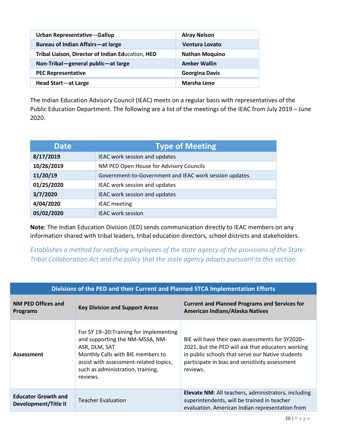| Urban Representative-Gallup                       | <b>Alray Nelson</b>   |
|---------------------------------------------------|-----------------------|
| Bureau of Indian Affairs-at large                 | <b>Ventura Lovato</b> |
| Tribal Liaison, Director of Indian Education, HED | <b>Nathan Moquino</b> |
| Non-Tribal-general public-at large                | <b>Amber Wallin</b>   |
| <b>PEC Representative</b>                         | <b>Georgina Davis</b> |
| Head Start-at Large                               | <b>Marsha Leno</b>    |

The Indian Education Advisory Council (IEAC) meets on a regular basis with representatives of the Public Education Department. The following are a list of the meetings of the IEAC from July 2019 – June 2020.

| <b>Date</b> | <b>Type of Meeting</b>                                 |
|-------------|--------------------------------------------------------|
| 8/17/2019   | IEAC work session and updates                          |
| 10/26/2019  | NM PED Open House for Advisory Councils                |
| 11/20/19    | Government-to-Government and IEAC work session updates |
| 01/25/2020  | IEAC work session and updates                          |
| 3/7/2020    | IEAC work session and updates                          |
| 4/04/2020   | <b>IEAC</b> meeting                                    |
| 05/02/2020  | <b>IEAC work session</b>                               |

**Note**: The Indian Education Division (IED) sends communication directly to IEAC members on any information shared with tribal leaders, tribal education directors, school districts and stakeholders.

<span id="page-20-0"></span>*Establishes a method for notifying employees of the state agency of the provisions of the State-Tribal Collaboration Act and the policy that the state agency adopts pursuant to this section.*

| Divisions of the PED and their Current and Planned STCA Implementation Efforts |                                                                                                                                                                                                                             |                                                                                                                                                                                                                        |
|--------------------------------------------------------------------------------|-----------------------------------------------------------------------------------------------------------------------------------------------------------------------------------------------------------------------------|------------------------------------------------------------------------------------------------------------------------------------------------------------------------------------------------------------------------|
| <b>NM PED Offices and</b><br><b>Programs</b>                                   | <b>Key Division and Support Areas</b>                                                                                                                                                                                       | <b>Current and Planned Programs and Services for</b><br>American Indians/Alaska Natives                                                                                                                                |
| Assessment                                                                     | For SY 19-20: Training for implementing<br>and supporting the NM-MSSA, NM-<br>ASR, DLM, SAT<br>Monthly Calls with BIE members to<br>assist with assessment-related topics,<br>such as administration, training,<br>reviews. | BIE will have their own assessments for SY2020-<br>2021, but the PED will ask that educators working<br>in public schools that serve our Native students<br>participate in bias and sensitivity assessment<br>reviews. |
| <b>Educator Growth and</b><br>Development/Title II                             | <b>Teacher Evaluation</b>                                                                                                                                                                                                   | Elevate NM: All teachers, administrators, including<br>superintendents, will be trained in teacher<br>evaluation. American Indian representation from                                                                  |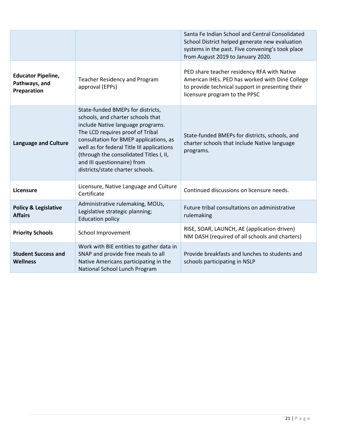|                                                           |                                                                                                                                                                                                                                                                                                                                                       | Santa Fe Indian School and Central Consolidated<br>School District helped generate new evaluation<br>systems in the past. Five convening's took place<br>from August 2019 to January 2020. |
|-----------------------------------------------------------|-------------------------------------------------------------------------------------------------------------------------------------------------------------------------------------------------------------------------------------------------------------------------------------------------------------------------------------------------------|--------------------------------------------------------------------------------------------------------------------------------------------------------------------------------------------|
| <b>Educator Pipeline,</b><br>Pathways, and<br>Preparation | <b>Teacher Residency and Program</b><br>approval (EPPs)                                                                                                                                                                                                                                                                                               | PED share teacher residency RFA with Native<br>American IHEs. PED has worked with Diné College<br>to provide technical support in presenting their<br>licensure program to the PPSC        |
| <b>Language and Culture</b>                               | State-funded BMEPs for districts,<br>schools, and charter schools that<br>include Native language programs.<br>The LCD requires proof of Tribal<br>consultation for BMEP applications, as<br>well as for federal Title III applications<br>(through the consolidated Titles I, II,<br>and III questionnaire) from<br>districts/state charter schools. | State-funded BMEPs for districts, schools, and<br>charter schools that include Native language<br>programs.                                                                                |
| Licensure                                                 | Licensure, Native Language and Culture<br>Certificate                                                                                                                                                                                                                                                                                                 | Continued discussions on licensure needs.                                                                                                                                                  |
| <b>Policy &amp; Legislative</b><br><b>Affairs</b>         | Administrative rulemaking, MOUs,<br>Legislative strategic planning;<br><b>Education policy</b>                                                                                                                                                                                                                                                        | Future tribal consultations on administrative<br>rulemaking                                                                                                                                |
| <b>Priority Schools</b>                                   | School Improvement                                                                                                                                                                                                                                                                                                                                    | RISE, SOAR, LAUNCH, AE (application driven)<br>NM DASH (required of all schools and charters)                                                                                              |
| <b>Student Success and</b><br><b>Wellness</b>             | Work with BIE entities to gather data in<br>SNAP and provide free meals to all<br>Native Americans participating in the<br>National School Lunch Program                                                                                                                                                                                              | Provide breakfasts and lunches to students and<br>schools participating in NSLP                                                                                                            |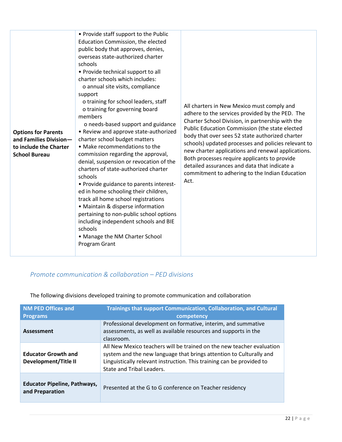| <b>Options for Parents</b><br>and Families Division-<br>to include the Charter<br><b>School Bureau</b> | • Provide staff support to the Public<br>Education Commission, the elected<br>public body that approves, denies,<br>overseas state-authorized charter<br>schools<br>• Provide technical support to all<br>charter schools which includes:<br>o annual site visits, compliance<br>support<br>o training for school leaders, staff<br>o training for governing board<br>members<br>o needs-based support and guidance<br>• Review and approve state-authorized<br>charter school budget matters<br>• Make recommendations to the<br>commission regarding the approval,<br>denial, suspension or revocation of the<br>charters of state-authorized charter<br>schools<br>• Provide guidance to parents interest-<br>ed in home schooling their children,<br>track all home school registrations<br>• Maintain & disperse information<br>pertaining to non-public school options<br>including independent schools and BIE<br>schools<br>• Manage the NM Charter School<br>Program Grant | All charters in New Mexico must comply and<br>adhere to the services provided by the PED. The<br>Charter School Division, in partnership with the<br>Public Education Commission (the state elected<br>body that over sees 52 state authorized charter<br>schools) updated processes and policies relevant to<br>new charter applications and renewal applications.<br>Both processes require applicants to provide<br>detailed assurances and data that indicate a<br>commitment to adhering to the Indian Education<br>Act. |
|--------------------------------------------------------------------------------------------------------|-------------------------------------------------------------------------------------------------------------------------------------------------------------------------------------------------------------------------------------------------------------------------------------------------------------------------------------------------------------------------------------------------------------------------------------------------------------------------------------------------------------------------------------------------------------------------------------------------------------------------------------------------------------------------------------------------------------------------------------------------------------------------------------------------------------------------------------------------------------------------------------------------------------------------------------------------------------------------------------|-------------------------------------------------------------------------------------------------------------------------------------------------------------------------------------------------------------------------------------------------------------------------------------------------------------------------------------------------------------------------------------------------------------------------------------------------------------------------------------------------------------------------------|
|--------------------------------------------------------------------------------------------------------|-------------------------------------------------------------------------------------------------------------------------------------------------------------------------------------------------------------------------------------------------------------------------------------------------------------------------------------------------------------------------------------------------------------------------------------------------------------------------------------------------------------------------------------------------------------------------------------------------------------------------------------------------------------------------------------------------------------------------------------------------------------------------------------------------------------------------------------------------------------------------------------------------------------------------------------------------------------------------------------|-------------------------------------------------------------------------------------------------------------------------------------------------------------------------------------------------------------------------------------------------------------------------------------------------------------------------------------------------------------------------------------------------------------------------------------------------------------------------------------------------------------------------------|

## <span id="page-22-0"></span>*Promote communication & collaboration – PED divisions*

| <b>NM PED Offices and</b><br><b>Programs</b>           | <b>Trainings that support Communication, Collaboration, and Cultural</b><br>competency                                                                                                                                                             |
|--------------------------------------------------------|----------------------------------------------------------------------------------------------------------------------------------------------------------------------------------------------------------------------------------------------------|
| Assessment                                             | Professional development on formative, interim, and summative<br>assessments, as well as available resources and supports in the<br>classroom.                                                                                                     |
| <b>Educator Growth and</b><br>Development/Title II     | All New Mexico teachers will be trained on the new teacher evaluation<br>system and the new language that brings attention to Culturally and<br>Linguistically relevant instruction. This training can be provided to<br>State and Tribal Leaders. |
| <b>Educator Pipeline, Pathways,</b><br>and Preparation | Presented at the G to G conference on Teacher residency                                                                                                                                                                                            |

The following divisions developed training to promote communication and collaboration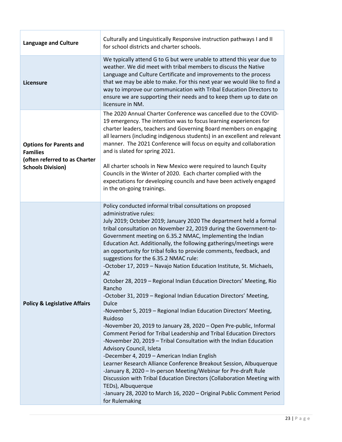| <b>Language and Culture</b>                                                                                    | Culturally and Linguistically Responsive instruction pathways I and II<br>for school districts and charter schools.                                                                                                                                                                                                                                                                                                                                                                                                                                                                                                                                                                                                                                                                                                                                                                                                                                                                                                                                                                                                                                                                                                                                                                                                                                                                                                                                              |
|----------------------------------------------------------------------------------------------------------------|------------------------------------------------------------------------------------------------------------------------------------------------------------------------------------------------------------------------------------------------------------------------------------------------------------------------------------------------------------------------------------------------------------------------------------------------------------------------------------------------------------------------------------------------------------------------------------------------------------------------------------------------------------------------------------------------------------------------------------------------------------------------------------------------------------------------------------------------------------------------------------------------------------------------------------------------------------------------------------------------------------------------------------------------------------------------------------------------------------------------------------------------------------------------------------------------------------------------------------------------------------------------------------------------------------------------------------------------------------------------------------------------------------------------------------------------------------------|
| Licensure                                                                                                      | We typically attend G to G but were unable to attend this year due to<br>weather. We did meet with tribal members to discuss the Native<br>Language and Culture Certificate and improvements to the process<br>that we may be able to make. For this next year we would like to find a<br>way to improve our communication with Tribal Education Directors to<br>ensure we are supporting their needs and to keep them up to date on<br>licensure in NM.                                                                                                                                                                                                                                                                                                                                                                                                                                                                                                                                                                                                                                                                                                                                                                                                                                                                                                                                                                                                         |
| <b>Options for Parents and</b><br><b>Families</b><br>(often referred to as Charter<br><b>Schools Division)</b> | The 2020 Annual Charter Conference was cancelled due to the COVID-<br>19 emergency. The intention was to focus learning experiences for<br>charter leaders, teachers and Governing Board members on engaging<br>all learners (including indigenous students) in an excellent and relevant<br>manner. The 2021 Conference will focus on equity and collaboration<br>and is slated for spring 2021.<br>All charter schools in New Mexico were required to launch Equity<br>Councils in the Winter of 2020. Each charter complied with the<br>expectations for developing councils and have been actively engaged<br>in the on-going trainings.                                                                                                                                                                                                                                                                                                                                                                                                                                                                                                                                                                                                                                                                                                                                                                                                                     |
| <b>Policy &amp; Legislative Affairs</b>                                                                        | Policy conducted informal tribal consultations on proposed<br>administrative rules:<br>July 2019; October 2019; January 2020 The department held a formal<br>tribal consultation on November 22, 2019 during the Government-to-<br>Government meeting on 6.35.2 NMAC, Implementing the Indian<br>Education Act. Additionally, the following gatherings/meetings were<br>an opportunity for tribal folks to provide comments, feedback, and<br>suggestions for the 6.35.2 NMAC rule:<br>-October 17, 2019 - Navajo Nation Education Institute, St. Michaels,<br><b>AZ</b><br>October 28, 2019 - Regional Indian Education Directors' Meeting, Rio<br>Rancho<br>-October 31, 2019 - Regional Indian Education Directors' Meeting,<br><b>Dulce</b><br>-November 5, 2019 - Regional Indian Education Directors' Meeting,<br>Ruidoso<br>-November 20, 2019 to January 28, 2020 - Open Pre-public, Informal<br>Comment Period for Tribal Leadership and Tribal Education Directors<br>-November 20, 2019 - Tribal Consultation with the Indian Education<br>Advisory Council, Isleta<br>-December 4, 2019 - American Indian English<br>Learner Research Alliance Conference Breakout Session, Albuquerque<br>-January 8, 2020 - In-person Meeting/Webinar for Pre-draft Rule<br>Discussion with Tribal Education Directors (Collaboration Meeting with<br>TEDs), Albuquerque<br>-January 28, 2020 to March 16, 2020 - Original Public Comment Period<br>for Rulemaking |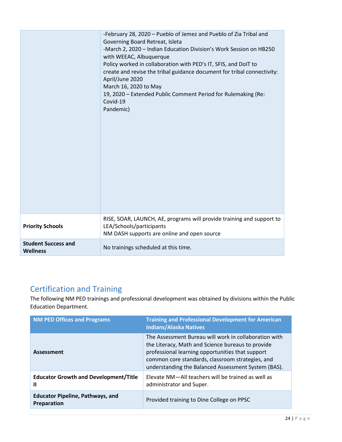|                                               | -February 28, 2020 - Pueblo of Jemez and Pueblo of Zia Tribal and<br>Governing Board Retreat, Isleta<br>-March 2, 2020 - Indian Education Division's Work Session on HB250<br>with WEEAC, Albuquerque<br>Policy worked in collaboration with PED's IT, SFIS, and DoIT to<br>create and revise the tribal guidance document for tribal connectivity:<br>April/June 2020<br>March 16, 2020 to May<br>19, 2020 - Extended Public Comment Period for Rulemaking (Re:<br>Covid-19<br>Pandemic) |
|-----------------------------------------------|-------------------------------------------------------------------------------------------------------------------------------------------------------------------------------------------------------------------------------------------------------------------------------------------------------------------------------------------------------------------------------------------------------------------------------------------------------------------------------------------|
| <b>Priority Schools</b>                       | RISE, SOAR, LAUNCH, AE, programs will provide training and support to<br>LEA/Schools/participants<br>NM DASH supports are online and open source                                                                                                                                                                                                                                                                                                                                          |
| <b>Student Success and</b><br><b>Wellness</b> | No trainings scheduled at this time.                                                                                                                                                                                                                                                                                                                                                                                                                                                      |

# <span id="page-24-0"></span>Certification and Training

The following NM PED trainings and professional development was obtained by divisions within the Public Education Department.

| <b>NM PED Offices and Programs</b>                            | <b>Training and Professional Development for American</b><br><b>Indians/Alaska Natives</b>                                                                                                                                                                                |
|---------------------------------------------------------------|---------------------------------------------------------------------------------------------------------------------------------------------------------------------------------------------------------------------------------------------------------------------------|
| Assessment                                                    | The Assessment Bureau will work in collaboration with<br>the Literacy, Math and Science bureaus to provide<br>professional learning opportunities that support<br>common core standards, classroom strategies, and<br>understanding the Balanced Assessment System (BAS). |
| <b>Educator Growth and Development/Title</b><br>Ш             | Elevate NM-All teachers will be trained as well as<br>administrator and Super.                                                                                                                                                                                            |
| <b>Educator Pipeline, Pathways, and</b><br><b>Preparation</b> | Provided training to Dine College on PPSC                                                                                                                                                                                                                                 |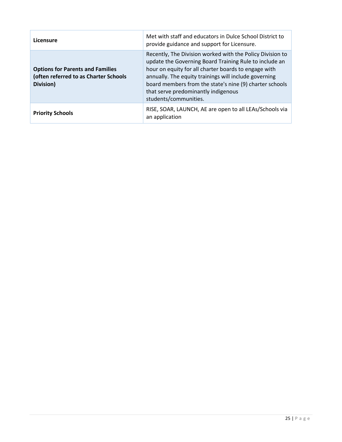| Licensure                                                                                     | Met with staff and educators in Dulce School District to<br>provide guidance and support for Licensure.                                                                                                                                                                                                                                                         |
|-----------------------------------------------------------------------------------------------|-----------------------------------------------------------------------------------------------------------------------------------------------------------------------------------------------------------------------------------------------------------------------------------------------------------------------------------------------------------------|
| <b>Options for Parents and Families</b><br>(often referred to as Charter Schools<br>Division) | Recently, The Division worked with the Policy Division to<br>update the Governing Board Training Rule to include an<br>hour on equity for all charter boards to engage with<br>annually. The equity trainings will include governing<br>board members from the state's nine (9) charter schools<br>that serve predominantly indigenous<br>students/communities. |
| <b>Priority Schools</b>                                                                       | RISE, SOAR, LAUNCH, AE are open to all LEAs/Schools via<br>an application                                                                                                                                                                                                                                                                                       |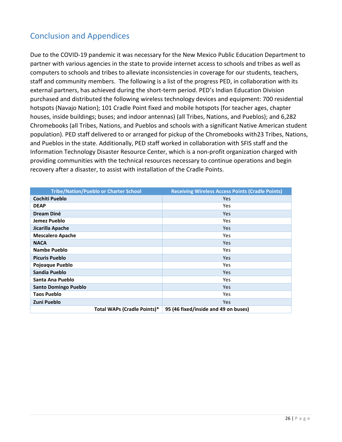# <span id="page-26-0"></span>Conclusion and Appendices

Due to the COVID-19 pandemic it was necessary for the New Mexico Public Education Department to partner with various agencies in the state to provide internet access to schools and tribes as well as computers to schools and tribes to alleviate inconsistencies in coverage for our students, teachers, staff and community members. The following is a list of the progress PED, in collaboration with its external partners, has achieved during the short-term period. PED's Indian Education Division purchased and distributed the following wireless technology devices and equipment: 700 residential hotspots (Navajo Nation); 101 Cradle Point fixed and mobile hotspots (for teacher ages, chapter houses, inside buildings; buses; and indoor antennas) (all Tribes, Nations, and Pueblos); and 6,282 Chromebooks (all Tribes, Nations, and Pueblos and schools with a significant Native American student population). PED staff delivered to or arranged for pickup of the Chromebooks with23 Tribes, Nations, and Pueblos in the state. Additionally, PED staff worked in collaboration with SFIS staff and the Information Technology Disaster Resource Center, which is a non-profit organization charged with providing communities with the technical resources necessary to continue operations and begin recovery after a disaster, to assist with installation of the Cradle Points.

|                             | <b>Tribe/Nation/Pueblo or Charter School</b> | <b>Receiving Wireless Access Points (Cradle Points)</b> |
|-----------------------------|----------------------------------------------|---------------------------------------------------------|
| <b>Cochiti Pueblo</b>       |                                              | Yes                                                     |
| <b>DEAP</b>                 |                                              | <b>Yes</b>                                              |
| <b>Dream Diné</b>           |                                              | <b>Yes</b>                                              |
| Jemez Pueblo                |                                              | <b>Yes</b>                                              |
| Jicarilla Apache            |                                              | <b>Yes</b>                                              |
| <b>Mescalero Apache</b>     |                                              | <b>Yes</b>                                              |
| <b>NACA</b>                 |                                              | <b>Yes</b>                                              |
| Nambe Pueblo                |                                              | <b>Yes</b>                                              |
| <b>Picuris Pueblo</b>       |                                              | <b>Yes</b>                                              |
| Pojoaque Pueblo             |                                              | <b>Yes</b>                                              |
| Sandia Pueblo               |                                              | <b>Yes</b>                                              |
| Santa Ana Pueblo            |                                              | <b>Yes</b>                                              |
| <b>Santo Domingo Pueblo</b> |                                              | <b>Yes</b>                                              |
| <b>Taos Pueblo</b>          |                                              | <b>Yes</b>                                              |
| Zuni Pueblo                 |                                              | <b>Yes</b>                                              |
|                             | Total WAPs (Cradle Points)*                  | 95 (46 fixed/inside and 49 on buses)                    |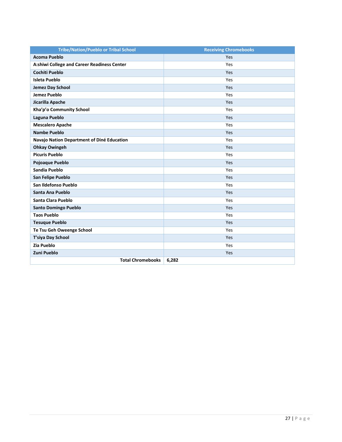| <b>Tribe/Nation/Pueblo or Tribal School</b> | <b>Receiving Chromebooks</b> |
|---------------------------------------------|------------------------------|
| <b>Acoma Pueblo</b>                         | Yes                          |
| A:shiwi College and Career Readiness Center | Yes                          |
| Cochiti Pueblo                              | Yes                          |
| Isleta Pueblo                               | Yes                          |
| Jemez Day School                            | Yes                          |
| <b>Jemez Pueblo</b>                         | Yes                          |
| Jicarilla Apache                            | Yes                          |
| Kha'p'o Community School                    | Yes                          |
| Laguna Pueblo                               | Yes                          |
| <b>Mescalero Apache</b>                     | Yes                          |
| <b>Nambe Pueblo</b>                         | Yes                          |
| Navajo Nation Department of Diné Education  | Yes                          |
| <b>Ohkay Owingeh</b>                        | Yes                          |
| <b>Picuris Pueblo</b>                       | Yes                          |
| Pojoaque Pueblo                             | Yes                          |
| Sandia Pueblo                               | Yes                          |
| San Felipe Pueblo                           | Yes                          |
| San Ildefonso Pueblo                        | Yes                          |
| Santa Ana Pueblo                            | Yes                          |
| Santa Clara Pueblo                          | Yes                          |
| <b>Santo Domingo Pueblo</b>                 | Yes                          |
| <b>Taos Pueblo</b>                          | Yes                          |
| <b>Tesuque Pueblo</b>                       | Yes                          |
| Te Tsu Geh Oweenge School                   | Yes                          |
| T'siya Day School                           | Yes                          |
| Zia Pueblo                                  | Yes                          |
| <b>Zuni Pueblo</b>                          | Yes                          |
| <b>Total Chromebooks</b>                    | 6,282                        |